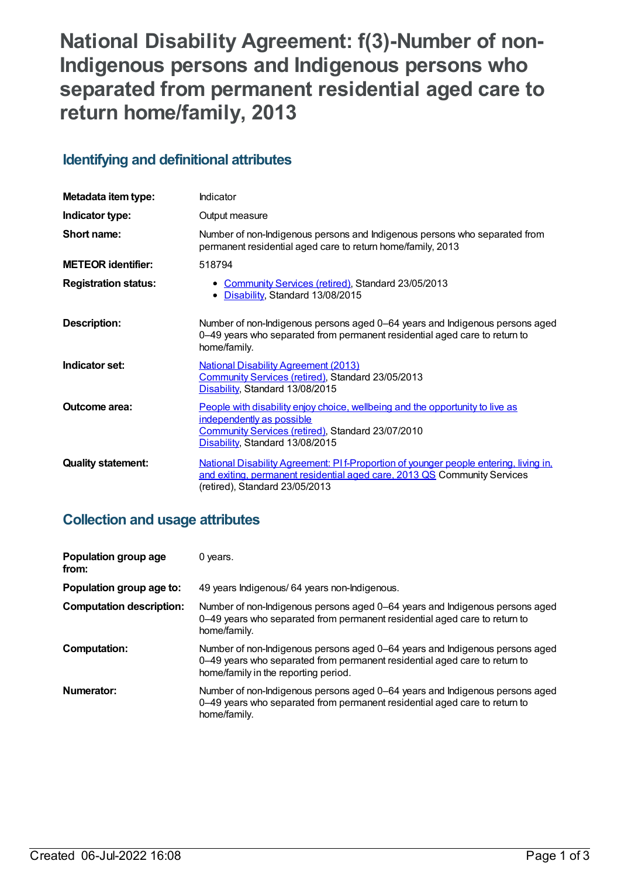# **National Disability Agreement: f(3)-Number of non-Indigenous persons and Indigenous persons who separated from permanent residential aged care to return home/family, 2013**

# **Identifying and definitional attributes**

| Metadata item type:         | <b>Indicator</b>                                                                                                                                                                                    |
|-----------------------------|-----------------------------------------------------------------------------------------------------------------------------------------------------------------------------------------------------|
| Indicator type:             | Output measure                                                                                                                                                                                      |
| Short name:                 | Number of non-Indigenous persons and Indigenous persons who separated from<br>permanent residential aged care to return home/family, 2013                                                           |
| <b>METEOR identifier:</b>   | 518794                                                                                                                                                                                              |
| <b>Registration status:</b> | • Community Services (retired), Standard 23/05/2013<br>Disability, Standard 13/08/2015                                                                                                              |
| Description:                | Number of non-Indigenous persons aged 0-64 years and Indigenous persons aged<br>0-49 years who separated from permanent residential aged care to return to<br>home/family.                          |
| Indicator set:              | <b>National Disability Agreement (2013)</b><br>Community Services (retired), Standard 23/05/2013<br>Disability, Standard 13/08/2015                                                                 |
| Outcome area:               | People with disability enjoy choice, wellbeing and the opportunity to live as<br>independently as possible<br>Community Services (retired), Standard 23/07/2010<br>Disability, Standard 13/08/2015  |
| <b>Quality statement:</b>   | National Disability Agreement: PI f-Proportion of younger people entering, living in,<br>and exiting, permanent residential aged care, 2013 QS Community Services<br>(retired), Standard 23/05/2013 |

#### **Collection and usage attributes**

| Population group age<br>from:   | 0 years.                                                                                                                                                                                           |
|---------------------------------|----------------------------------------------------------------------------------------------------------------------------------------------------------------------------------------------------|
| Population group age to:        | 49 years Indigenous/ 64 years non-Indigenous.                                                                                                                                                      |
| <b>Computation description:</b> | Number of non-Indigenous persons aged 0-64 years and Indigenous persons aged<br>0-49 years who separated from permanent residential aged care to return to<br>home/family.                         |
| <b>Computation:</b>             | Number of non-Indigenous persons aged 0–64 years and Indigenous persons aged<br>0-49 years who separated from permanent residential aged care to return to<br>home/family in the reporting period. |
| Numerator:                      | Number of non-Indigenous persons aged 0–64 years and Indigenous persons aged<br>0-49 years who separated from permanent residential aged care to return to<br>home/family.                         |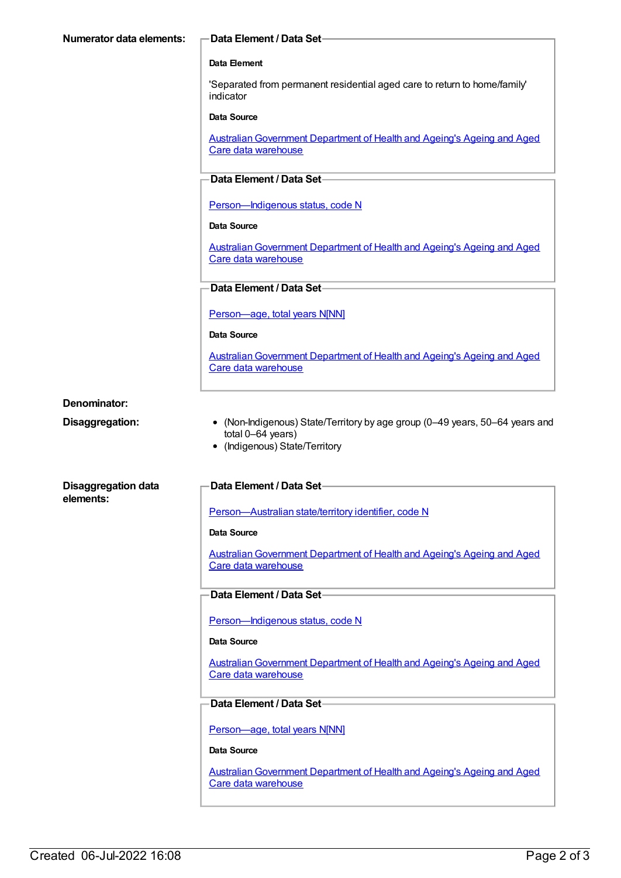| <b>Numerator data elements:</b>         | <b>Data Element / Data Set-</b>                                                                                                     |
|-----------------------------------------|-------------------------------------------------------------------------------------------------------------------------------------|
|                                         | Data Element                                                                                                                        |
|                                         | 'Separated from permanent residential aged care to return to home/family'<br>indicator                                              |
|                                         | Data Source                                                                                                                         |
|                                         | <b>Australian Government Department of Health and Ageing's Ageing and Aged</b><br>Care data warehouse                               |
|                                         | Data Element / Data Set-                                                                                                            |
|                                         | Person-Indigenous status, code N                                                                                                    |
|                                         | Data Source                                                                                                                         |
|                                         | <b>Australian Government Department of Health and Ageing's Ageing and Aged</b><br>Care data warehouse                               |
|                                         | Data Element / Data Set-                                                                                                            |
|                                         | Person-age, total years N[NN]                                                                                                       |
|                                         | Data Source                                                                                                                         |
|                                         | <b>Australian Government Department of Health and Ageing's Ageing and Aged</b><br>Care data warehouse                               |
| Denominator:                            |                                                                                                                                     |
| Disaggregation:                         | • (Non-Indigenous) State/Territory by age group (0-49 years, 50-64 years and<br>total 0-64 years)<br>• (Indigenous) State/Territory |
| <b>Disaggregation data</b><br>elements: | Data Element / Data Set-                                                                                                            |
|                                         | Person-Australian state/territory identifier, code N                                                                                |
|                                         | Data Source                                                                                                                         |
|                                         | Australian Government Department of Health and Ageing's Ageing and Aged<br>Care data warehouse                                      |
|                                         | Data Element / Data Set-                                                                                                            |
|                                         | Person-Indigenous status, code N                                                                                                    |
|                                         | Data Source                                                                                                                         |
|                                         | <b>Australian Government Department of Health and Ageing's Ageing and Aged</b>                                                      |
|                                         | Care data warehouse                                                                                                                 |
|                                         | Data Element / Data Set-                                                                                                            |
|                                         | Person-age, total years N[NN]                                                                                                       |
|                                         | Data Source                                                                                                                         |
|                                         | Australian Government Department of Health and Ageing's Ageing and Aged<br>Care data warehouse                                      |